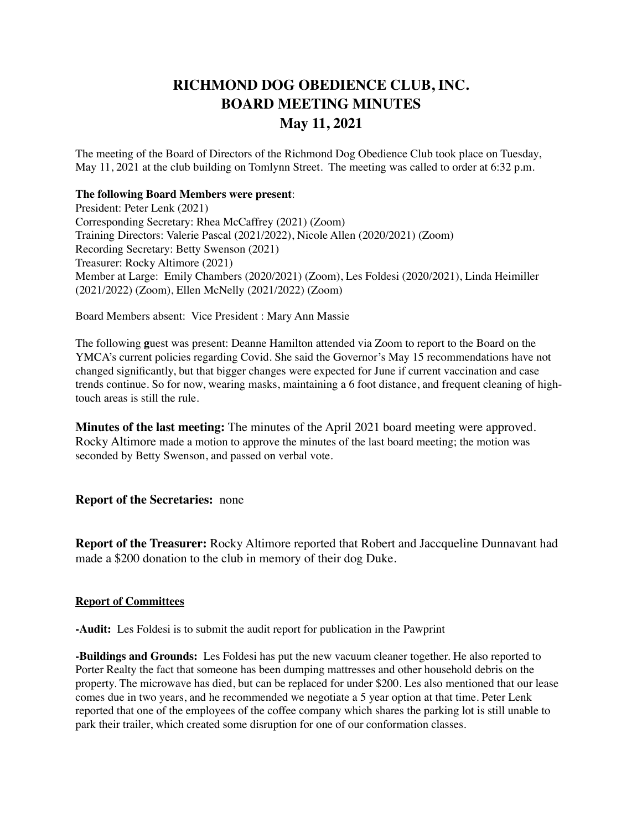## **RICHMOND DOG OBEDIENCE CLUB, INC. BOARD MEETING MINUTES May 11, 2021**

The meeting of the Board of Directors of the Richmond Dog Obedience Club took place on Tuesday, May 11, 2021 at the club building on Tomlynn Street. The meeting was called to order at 6:32 p.m.

## **The following Board Members were present**:

President: Peter Lenk (2021) Corresponding Secretary: Rhea McCaffrey (2021) (Zoom) Training Directors: Valerie Pascal (2021/2022), Nicole Allen (2020/2021) (Zoom) Recording Secretary: Betty Swenson (2021) Treasurer: Rocky Altimore (2021) Member at Large: Emily Chambers (2020/2021) (Zoom), Les Foldesi (2020/2021), Linda Heimiller (2021/2022) (Zoom), Ellen McNelly (2021/2022) (Zoom)

Board Members absent: Vice President : Mary Ann Massie

The following **g**uest was present: Deanne Hamilton attended via Zoom to report to the Board on the YMCA's current policies regarding Covid. She said the Governor's May 15 recommendations have not changed significantly, but that bigger changes were expected for June if current vaccination and case trends continue. So for now, wearing masks, maintaining a 6 foot distance, and frequent cleaning of hightouch areas is still the rule.

**Minutes of the last meeting:** The minutes of the April 2021 board meeting were approved. Rocky Altimore made a motion to approve the minutes of the last board meeting; the motion was seconded by Betty Swenson, and passed on verbal vote.

**Report of the Secretaries:** none

**Report of the Treasurer:** Rocky Altimore reported that Robert and Jaccqueline Dunnavant had made a \$200 donation to the club in memory of their dog Duke.

## **Report of Committees**

**-Audit:** Les Foldesi is to submit the audit report for publication in the Pawprint

**-Buildings and Grounds:** Les Foldesi has put the new vacuum cleaner together. He also reported to Porter Realty the fact that someone has been dumping mattresses and other household debris on the property. The microwave has died, but can be replaced for under \$200. Les also mentioned that our lease comes due in two years, and he recommended we negotiate a 5 year option at that time. Peter Lenk reported that one of the employees of the coffee company which shares the parking lot is still unable to park their trailer, which created some disruption for one of our conformation classes.